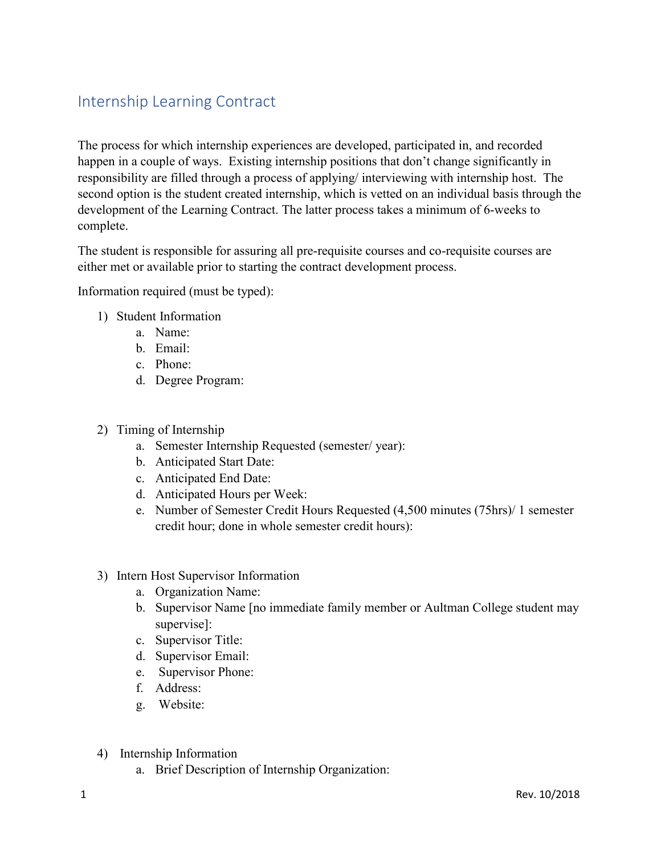## Internship Learning Contract

The process for which internship experiences are developed, participated in, and recorded happen in a couple of ways. Existing internship positions that don't change significantly in responsibility are filled through a process of applying/ interviewing with internship host. The second option is the student created internship, which is vetted on an individual basis through the development of the Learning Contract. The latter process takes a minimum of 6-weeks to complete.

The student is responsible for assuring all pre-requisite courses and co-requisite courses are either met or available prior to starting the contract development process.

Information required (must be typed):

- 1) Student Information
	- a. Name:
	- b. Email:
	- c. Phone:
	- d. Degree Program:
- 2) Timing of Internship
	- a. Semester Internship Requested (semester/ year):
	- b. Anticipated Start Date:
	- c. Anticipated End Date:
	- d. Anticipated Hours per Week:
	- e. Number of Semester Credit Hours Requested (4,500 minutes (75hrs)/ 1 semester credit hour; done in whole semester credit hours):
- 3) Intern Host Supervisor Information
	- a. Organization Name:
	- b. Supervisor Name [no immediate family member or Aultman College student may supervise]:
	- c. Supervisor Title:
	- d. Supervisor Email:
	- e. Supervisor Phone: f. Address:
	-
	- g. Website:
- 4) Internship Information
	- a. Brief Description of Internship Organization: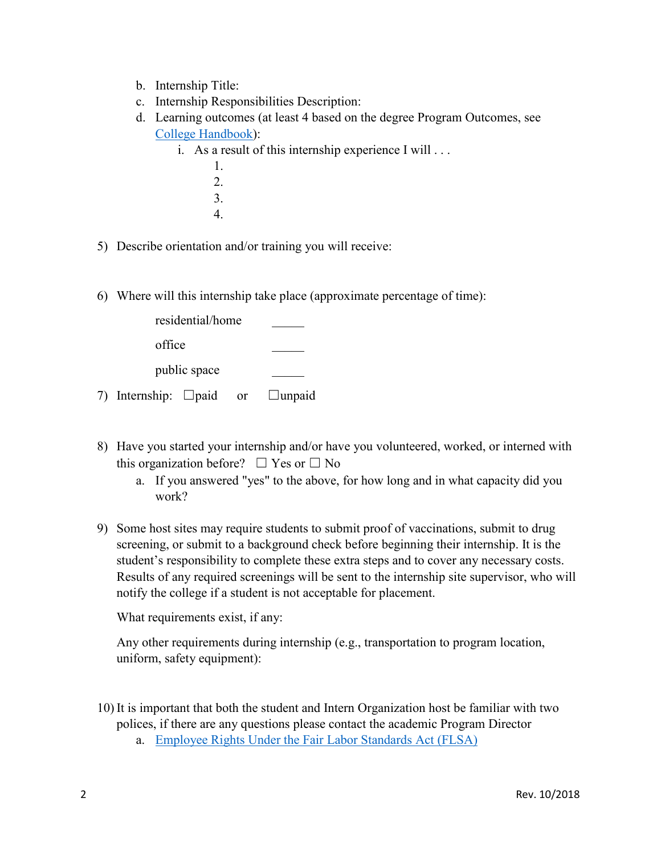- b. Internship Title:
- c. Internship Responsibilities Description:
- d. Learning outcomes (at least 4 based on the degree Program Outcomes, see [College Handbook\)](https://www.aultmancollege.edu/uploads/2018-2019-college-catalog.pdf):
	- i. As a result of this internship experience I will . . .
		- 1. 2. 3. 4.
- 5) Describe orientation and/or training you will receive:
- 6) Where will this internship take place (approximate percentage of time):

|              | residential/home           |  |    |               |
|--------------|----------------------------|--|----|---------------|
| office       |                            |  |    |               |
| public space |                            |  |    |               |
|              | 7) Internship: $\Box$ paid |  | or | $\Box$ unpaid |

- 8) Have you started your internship and/or have you volunteered, worked, or interned with this organization before?  $\Box$  Yes or  $\Box$  No
	- a. If you answered "yes" to the above, for how long and in what capacity did you work?
- 9) Some host sites may require students to submit proof of vaccinations, submit to drug screening, or submit to a background check before beginning their internship. It is the student's responsibility to complete these extra steps and to cover any necessary costs. Results of any required screenings will be sent to the internship site supervisor, who will notify the college if a student is not acceptable for placement.

What requirements exist, if any:

Any other requirements during internship (e.g., transportation to program location, uniform, safety equipment):

- 10) It is important that both the student and Intern Organization host be familiar with two polices, if there are any questions please contact the academic Program Director
	- a. [Employee Rights Under the Fair Labor Standards Act \(FLSA\)](http://www.dol.gov/whd/flsa/index.htm)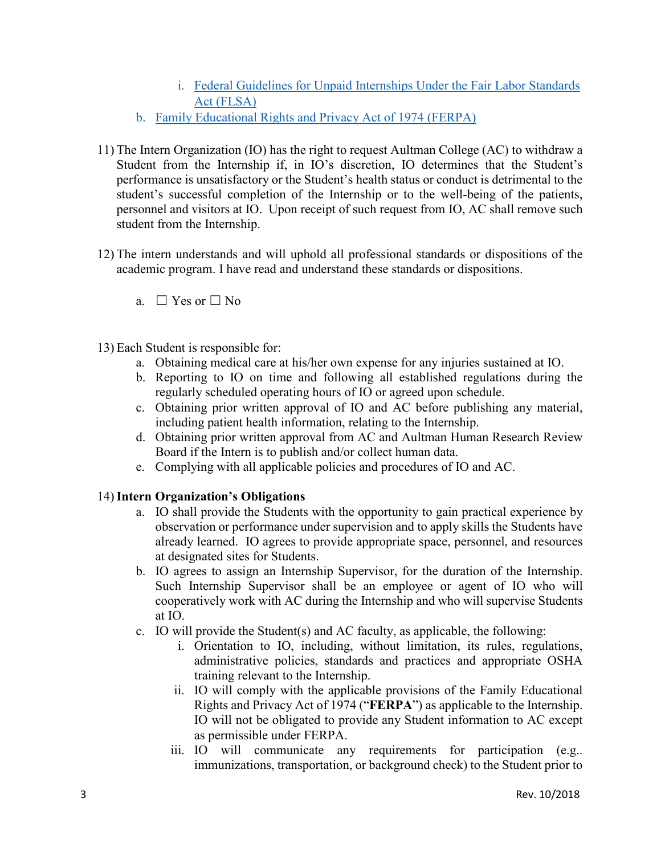- i. [Federal Guidelines for Unpaid Internships Under the Fair Labor Standards](http://www.dol.gov/whd/regs/compliance/whdfs71.htm)  [Act \(FLSA\)](http://www.dol.gov/whd/regs/compliance/whdfs71.htm)
- b. [Family Educational Rights and Privacy Act of 1974 \(FERPA\)](https://ed.gov/policy/gen/guid/fpco/ferpa/index.html)
- student from the Internship. 11) The Intern Organization (IO) has the right to request Aultman College (AC) to withdraw a Student from the Internship if, in IO's discretion, IO determines that the Student's performance is unsatisfactory or the Student's health status or conduct is detrimental to the student's successful completion of the Internship or to the well-being of the patients, personnel and visitors at IO. Upon receipt of such request from IO, AC shall remove such
- 12) The intern understands and will uphold all professional standards or dispositions of the academic program. I have read and understand these standards or dispositions.
	- a.  $\Box$  Yes or  $\Box$  No
- 13) Each Student is responsible for:
	- a. Obtaining medical care at his/her own expense for any injuries sustained at IO.
	- regularly scheduled operating hours of IO or agreed upon schedule. b. Reporting to IO on time and following all established regulations during the
	- c. Obtaining prior written approval of IO and AC before publishing any material, including patient health information, relating to the Internship.
	- d. Obtaining prior written approval from AC and Aultman Human Research Review Board if the Intern is to publish and/or collect human data.
	- e. Complying with all applicable policies and procedures of IO and AC.

## 14) **Intern Organization's Obligations**

- a. IO shall provide the Students with the opportunity to gain practical experience by observation or performance under supervision and to apply skills the Students have already learned. IO agrees to provide appropriate space, personnel, and resources at designated sites for Students.
- b. IO agrees to assign an Internship Supervisor, for the duration of the Internship. Such Internship Supervisor shall be an employee or agent of IO who will cooperatively work with AC during the Internship and who will supervise Students at IO.
- c. IO will provide the Student(s) and AC faculty, as applicable, the following:
	- training relevant to the Internship. i. Orientation to IO, including, without limitation, its rules, regulations, administrative policies, standards and practices and appropriate OSHA
	- Rights and Privacy Act of 1974 ("FERPA") as applicable to the Internship. ii. IO will comply with the applicable provisions of the Family Educational IO will not be obligated to provide any Student information to AC except as permissible under FERPA.
	- iii. IO will communicate any requirements for participation (e.g.. immunizations, transportation, or background check) to the Student prior to